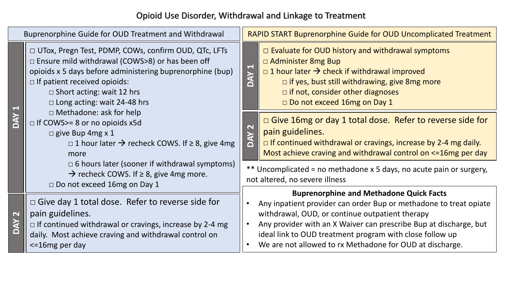## Opioid Use Disorder, Withdrawal and Linkage to Treatment

| Buprenorphine Guide for OUD Treatment and Withdrawal |                                                                                                                                                                                                                                                                                                                                                                                                                                                                                                                                                                                                                                               |                                                                                                       | <b>RAPID START Buprenorphine Guide for OUD Uncomplicated Treatment</b>                                                                                                                                                                                                                                                                                              |  |
|------------------------------------------------------|-----------------------------------------------------------------------------------------------------------------------------------------------------------------------------------------------------------------------------------------------------------------------------------------------------------------------------------------------------------------------------------------------------------------------------------------------------------------------------------------------------------------------------------------------------------------------------------------------------------------------------------------------|-------------------------------------------------------------------------------------------------------|---------------------------------------------------------------------------------------------------------------------------------------------------------------------------------------------------------------------------------------------------------------------------------------------------------------------------------------------------------------------|--|
|                                                      | □ UTox, Pregn Test, PDMP, COWs, confirm OUD, QTc, LFTs<br>$\Box$ Ensure mild withdrawal (COWS>8) or has been off<br>opioids x 5 days before administering buprenorphine (bup)<br>$\Box$ If patient received opioids:<br>$\Box$ Short acting: wait 12 hrs<br>$\Box$ Long acting: wait 24-48 hrs<br>$\Box$ Methadone: ask for help<br>$\Box$ If COWS>= 8 or no opioids x5d<br>$\Box$ give Bup 4mg x 1<br>$\Box$ 1 hour later $\rightarrow$ recheck COWS. If $\geq$ 8, give 4mg<br>more<br>$\Box$ 6 hours later (sooner if withdrawal symptoms)<br>$\rightarrow$ recheck COWS. If $\geq$ 8, give 4mg more.<br>$\Box$ Do not exceed 16mg on Day 1 | $\overline{\phantom{0}}$<br><b>YAC</b>                                                                | □ Evaluate for OUD history and withdrawal symptoms<br>$\Box$ Administer 8mg Bup<br>$\Box$ 1 hour later $\rightarrow$ check if withdrawal improved<br>$\Box$ if yes, bust still withdrawing, give 8mg more<br>$\Box$ if not, consider other diagnoses<br>□ Do not exceed 16mg on Day 1                                                                               |  |
|                                                      |                                                                                                                                                                                                                                                                                                                                                                                                                                                                                                                                                                                                                                               | $\mathbf{\mathbf{N}}$<br><b>NAO</b>                                                                   | $\Box$ Give 16mg or day 1 total dose. Refer to reverse side for<br>pain guidelines.<br>$\Box$ If continued withdrawal or cravings, increase by 2-4 mg daily.<br>Most achieve craving and withdrawal control on <= 16mg per day                                                                                                                                      |  |
|                                                      |                                                                                                                                                                                                                                                                                                                                                                                                                                                                                                                                                                                                                                               | ** Uncomplicated = no methadone x 5 days, no acute pain or surgery,<br>not altered, no severe illness |                                                                                                                                                                                                                                                                                                                                                                     |  |
|                                                      | $\Box$ Give day 1 total dose. Refer to reverse side for<br>pain guidelines.<br>$\Box$ If continued withdrawal or cravings, increase by 2-4 mg<br>daily. Most achieve craving and withdrawal control on<br>$\le$ 16 mg per day                                                                                                                                                                                                                                                                                                                                                                                                                 |                                                                                                       | <b>Buprenorphine and Methadone Quick Facts</b><br>Any inpatient provider can order Bup or methadone to treat opiate<br>withdrawal, OUD, or continue outpatient therapy<br>Any provider with an X Waiver can prescribe Bup at discharge, but<br>ideal link to OUD treatment program with close follow up<br>We are not allowed to rx Methadone for OUD at discharge. |  |

**DAY 1**

**DAY 2**